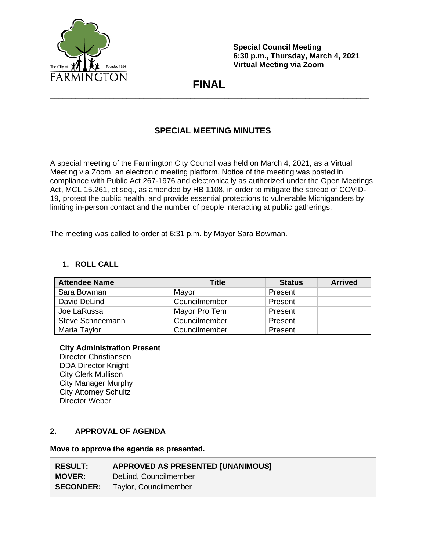

**Special Council Meeting 6:30 p.m., Thursday, March 4, 2021 Virtual Meeting via Zoom**

# **FINAL \_\_\_\_\_\_\_\_\_\_\_\_\_\_\_\_\_\_\_\_\_\_\_\_\_\_\_\_\_\_\_\_\_\_\_\_\_\_\_\_\_\_\_\_\_\_\_\_\_\_\_\_\_\_\_\_\_\_\_\_\_\_\_\_\_\_\_\_\_\_\_\_\_\_\_**

# **SPECIAL MEETING MINUTES**

A special meeting of the Farmington City Council was held on March 4, 2021, as a Virtual Meeting via Zoom, an electronic meeting platform. Notice of the meeting was posted in compliance with Public Act 267-1976 and electronically as authorized under the Open Meetings Act, MCL 15.261, et seq., as amended by HB 1108, in order to mitigate the spread of COVID-19, protect the public health, and provide essential protections to vulnerable Michiganders by limiting in-person contact and the number of people interacting at public gatherings.

The meeting was called to order at 6:31 p.m. by Mayor Sara Bowman.

## **1. ROLL CALL**

| <b>Attendee Name</b>    | Title         | <b>Status</b> | <b>Arrived</b> |
|-------------------------|---------------|---------------|----------------|
| Sara Bowman             | Mayor         | Present       |                |
| David DeLind            | Councilmember | Present       |                |
| Joe LaRussa             | Mayor Pro Tem | Present       |                |
| <b>Steve Schneemann</b> | Councilmember | Present       |                |
| Maria Taylor            | Councilmember | Present       |                |

## **City Administration Present**

Director Christiansen DDA Director Knight City Clerk Mullison City Manager Murphy City Attorney Schultz Director Weber

### **2. APPROVAL OF AGENDA**

#### **Move to approve the agenda as presented.**

| <b>RESULT:</b> | <b>APPROVED AS PRESENTED [UNANIMOUS]</b> |
|----------------|------------------------------------------|
| <b>MOVER:</b>  | DeLind, Councilmember                    |
|                | <b>SECONDER:</b> Taylor, Councilmember   |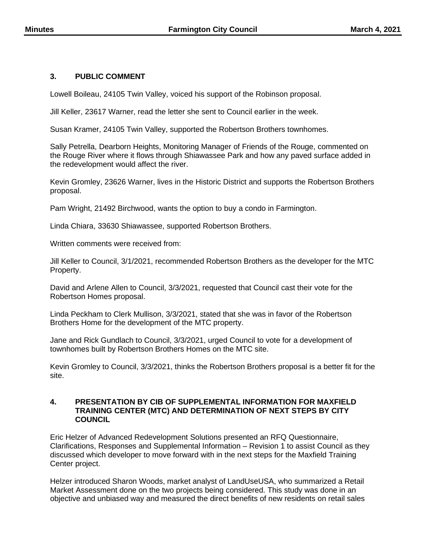### **3. PUBLIC COMMENT**

Lowell Boileau, 24105 Twin Valley, voiced his support of the Robinson proposal.

Jill Keller, 23617 Warner, read the letter she sent to Council earlier in the week.

Susan Kramer, 24105 Twin Valley, supported the Robertson Brothers townhomes.

Sally Petrella, Dearborn Heights, Monitoring Manager of Friends of the Rouge, commented on the Rouge River where it flows through Shiawassee Park and how any paved surface added in the redevelopment would affect the river.

Kevin Gromley, 23626 Warner, lives in the Historic District and supports the Robertson Brothers proposal.

Pam Wright, 21492 Birchwood, wants the option to buy a condo in Farmington.

Linda Chiara, 33630 Shiawassee, supported Robertson Brothers.

Written comments were received from:

Jill Keller to Council, 3/1/2021, recommended Robertson Brothers as the developer for the MTC Property.

David and Arlene Allen to Council, 3/3/2021, requested that Council cast their vote for the Robertson Homes proposal.

Linda Peckham to Clerk Mullison, 3/3/2021, stated that she was in favor of the Robertson Brothers Home for the development of the MTC property.

Jane and Rick Gundlach to Council, 3/3/2021, urged Council to vote for a development of townhomes built by Robertson Brothers Homes on the MTC site.

Kevin Gromley to Council, 3/3/2021, thinks the Robertson Brothers proposal is a better fit for the site.

#### **4. PRESENTATION BY CIB OF SUPPLEMENTAL INFORMATION FOR MAXFIELD TRAINING CENTER (MTC) AND DETERMINATION OF NEXT STEPS BY CITY COUNCIL**

Eric Helzer of Advanced Redevelopment Solutions presented an RFQ Questionnaire, Clarifications, Responses and Supplemental Information – Revision 1 to assist Council as they discussed which developer to move forward with in the next steps for the Maxfield Training Center project.

Helzer introduced Sharon Woods, market analyst of LandUseUSA, who summarized a Retail Market Assessment done on the two projects being considered. This study was done in an objective and unbiased way and measured the direct benefits of new residents on retail sales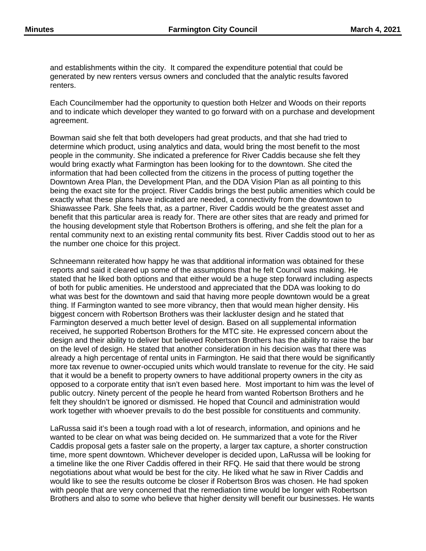and establishments within the city. It compared the expenditure potential that could be generated by new renters versus owners and concluded that the analytic results favored renters.

Each Councilmember had the opportunity to question both Helzer and Woods on their reports and to indicate which developer they wanted to go forward with on a purchase and development agreement.

Bowman said she felt that both developers had great products, and that she had tried to determine which product, using analytics and data, would bring the most benefit to the most people in the community. She indicated a preference for River Caddis because she felt they would bring exactly what Farmington has been looking for to the downtown. She cited the information that had been collected from the citizens in the process of putting together the Downtown Area Plan, the Development Plan, and the DDA Vision Plan as all pointing to this being the exact site for the project. River Caddis brings the best public amenities which could be exactly what these plans have indicated are needed, a connectivity from the downtown to Shiawassee Park. She feels that, as a partner, River Caddis would be the greatest asset and benefit that this particular area is ready for. There are other sites that are ready and primed for the housing development style that Robertson Brothers is offering, and she felt the plan for a rental community next to an existing rental community fits best. River Caddis stood out to her as the number one choice for this project.

Schneemann reiterated how happy he was that additional information was obtained for these reports and said it cleared up some of the assumptions that he felt Council was making. He stated that he liked both options and that either would be a huge step forward including aspects of both for public amenities. He understood and appreciated that the DDA was looking to do what was best for the downtown and said that having more people downtown would be a great thing. If Farmington wanted to see more vibrancy, then that would mean higher density. His biggest concern with Robertson Brothers was their lackluster design and he stated that Farmington deserved a much better level of design. Based on all supplemental information received, he supported Robertson Brothers for the MTC site. He expressed concern about the design and their ability to deliver but believed Robertson Brothers has the ability to raise the bar on the level of design. He stated that another consideration in his decision was that there was already a high percentage of rental units in Farmington. He said that there would be significantly more tax revenue to owner-occupied units which would translate to revenue for the city. He said that it would be a benefit to property owners to have additional property owners in the city as opposed to a corporate entity that isn't even based here. Most important to him was the level of public outcry. Ninety percent of the people he heard from wanted Robertson Brothers and he felt they shouldn't be ignored or dismissed. He hoped that Council and administration would work together with whoever prevails to do the best possible for constituents and community.

LaRussa said it's been a tough road with a lot of research, information, and opinions and he wanted to be clear on what was being decided on. He summarized that a vote for the River Caddis proposal gets a faster sale on the property, a larger tax capture, a shorter construction time, more spent downtown. Whichever developer is decided upon, LaRussa will be looking for a timeline like the one River Caddis offered in their RFQ. He said that there would be strong negotiations about what would be best for the city. He liked what he saw in River Caddis and would like to see the results outcome be closer if Robertson Bros was chosen. He had spoken with people that are very concerned that the remediation time would be longer with Robertson Brothers and also to some who believe that higher density will benefit our businesses. He wants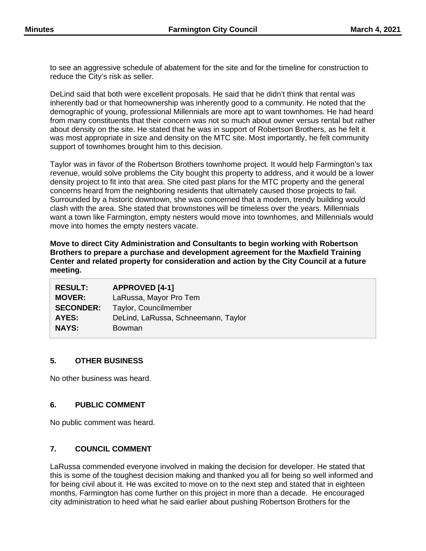to see an aggressive schedule of abatement for the site and for the timeline for construction to reduce the City's risk as seller.

DeLind said that both were excellent proposals. He said that he didn't think that rental was inherently bad or that homeownership was inherently good to a community. He noted that the demographic of young, professional Millennials are more apt to want townhomes. He had heard from many constituents that their concern was not so much about owner versus rental but rather about density on the site. He stated that he was in support of Robertson Brothers, as he felt it was most appropriate in size and density on the MTC site. Most importantly, he felt community support of townhomes brought him to this decision.

Taylor was in favor of the Robertson Brothers townhome project. It would help Farmington's tax revenue, would solve problems the City bought this property to address, and it would be a lower density project to fit into that area. She cited past plans for the MTC property and the general concerns heard from the neighboring residents that ultimately caused those projects to fail. Surrounded by a historic downtown, she was concerned that a modern, trendy building would clash with the area. She stated that brownstones will be timeless over the years. Millennials want a town like Farmington, empty nesters would move into townhomes, and Millennials would move into homes the empty nesters vacate.

**Move to direct City Administration and Consultants to begin working with Robertson Brothers to prepare a purchase and development agreement for the Maxfield Training Center and related property for consideration and action by the City Council at a future meeting.**

| <b>RESULT:</b>   | <b>APPROVED [4-1]</b>               |
|------------------|-------------------------------------|
| <b>MOVER:</b>    | LaRussa, Mayor Pro Tem              |
| <b>SECONDER:</b> | Taylor, Councilmember               |
| AYES:            | DeLind, LaRussa, Schneemann, Taylor |
| <b>NAYS:</b>     | <b>Bowman</b>                       |

### **5. OTHER BUSINESS**

No other business was heard.

### **6. PUBLIC COMMENT**

No public comment was heard.

### **7. COUNCIL COMMENT**

LaRussa commended everyone involved in making the decision for developer. He stated that this is some of the toughest decision making and thanked you all for being so well informed and for being civil about it. He was excited to move on to the next step and stated that in eighteen months, Farmington has come further on this project in more than a decade. He encouraged city administration to heed what he said earlier about pushing Robertson Brothers for the